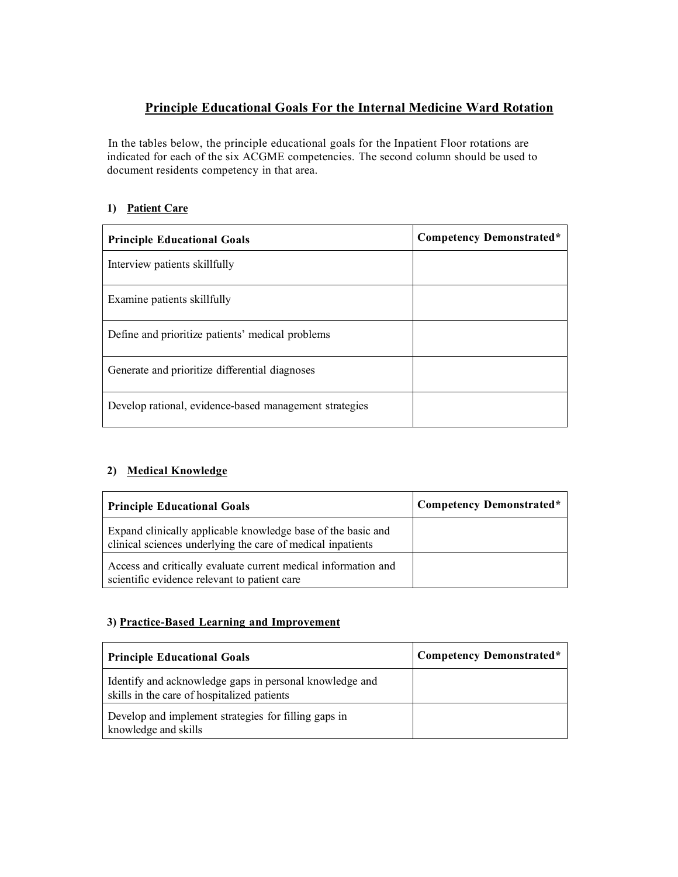# **Principle Educational Goals For the Internal Medicine Ward Rotation**

In the tables below, the principle educational goals for the Inpatient Floor rotations are indicated for each of the six ACGME competencies. The second column should be used to document residents competency in that area.

## **1) Patient Care**

| <b>Principle Educational Goals</b>                     | <b>Competency Demonstrated*</b> |
|--------------------------------------------------------|---------------------------------|
| Interview patients skillfully                          |                                 |
| Examine patients skillfully                            |                                 |
| Define and prioritize patients' medical problems       |                                 |
| Generate and prioritize differential diagnoses         |                                 |
| Develop rational, evidence-based management strategies |                                 |

## **2) Medical Knowledge**

| <b>Principle Educational Goals</b>                                                                                          | Competency Demonstrated* |
|-----------------------------------------------------------------------------------------------------------------------------|--------------------------|
| Expand clinically applicable knowledge base of the basic and<br>clinical sciences underlying the care of medical inpatients |                          |
| Access and critically evaluate current medical information and<br>scientific evidence relevant to patient care              |                          |

## **3) Practice-Based Learning and Improvement**

| <b>Principle Educational Goals</b>                                                                     | Competency Demonstrated* |
|--------------------------------------------------------------------------------------------------------|--------------------------|
| Identify and acknowledge gaps in personal knowledge and<br>skills in the care of hospitalized patients |                          |
| Develop and implement strategies for filling gaps in<br>knowledge and skills                           |                          |